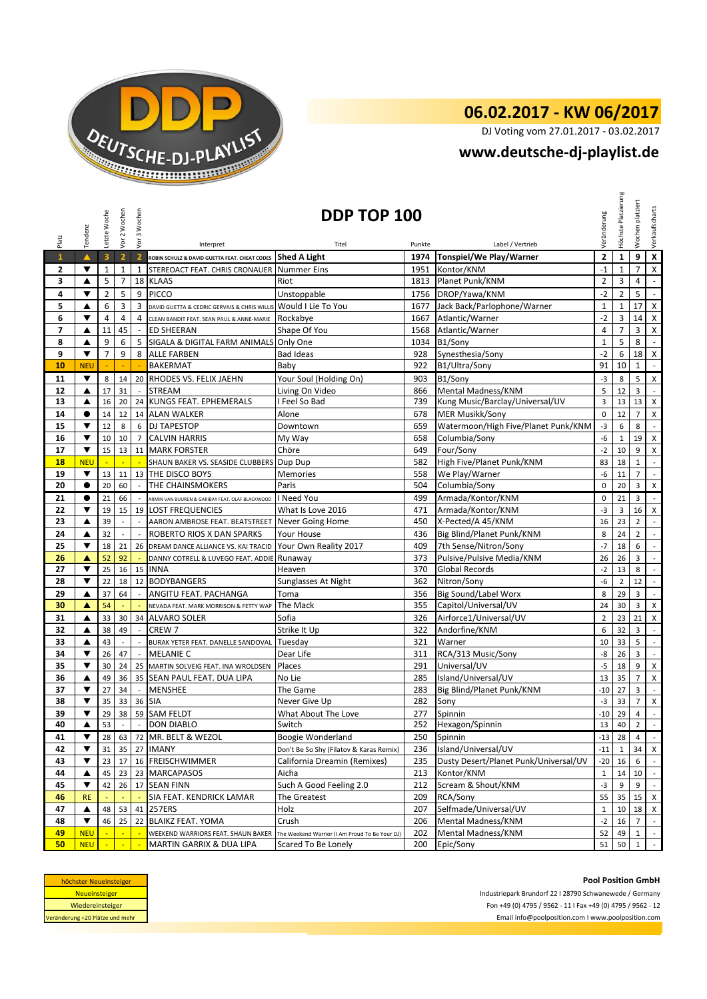

## **06.02.2017 - KW 06/2017**

DJ Voting vom 27.01.2017 - 03.02.2017

## **[w](http://www.deutsche-dj-playlist.de/)ww.deutsche-dj-playlist.de**

|                                 | Tendenz                                                                                                                         | Letzte Woche            | Vor 2 Wochen             | Vor 3 Wochen             | DDP TOP 100                                                    |                                                                       |            |                                                             |                     |                     | platziert<br>Wochen          | Verkaufscharts                              |
|---------------------------------|---------------------------------------------------------------------------------------------------------------------------------|-------------------------|--------------------------|--------------------------|----------------------------------------------------------------|-----------------------------------------------------------------------|------------|-------------------------------------------------------------|---------------------|---------------------|------------------------------|---------------------------------------------|
| Platz                           |                                                                                                                                 |                         |                          |                          | Interpret                                                      | Titel                                                                 | Punkte     | Label / Vertrieb                                            | Veränderung         | Höchste Platzierung |                              |                                             |
| $\mathbf{1}$                    | $\blacktriangle$                                                                                                                | $\overline{\mathbf{3}}$ | $\overline{2}$           | $\overline{\mathbf{2}}$  | ROBIN SCHULZ & DAVID GUETTA FEAT. CHEAT CODES Shed A Light     |                                                                       | 1974       | Tonspiel/We Play/Warner                                     | $\mathbf 2$         | $\mathbf{1}$        | 9                            | $\overline{\mathbf{x}}$                     |
| 2                               | ▼                                                                                                                               | $\mathbf 1$             | $\mathbf 1$              | $\mathbf{1}$             | STEREOACT FEAT. CHRIS CRONAUER Nummer Eins                     |                                                                       | 1951       | Kontor/KNM                                                  | $^{\mbox{-}}1$      | $\mathbf{1}$        | $\overline{7}$               | $\mathsf X$                                 |
| 3                               | ▲                                                                                                                               | 5                       | $\overline{7}$           |                          | 18 KLAAS                                                       | Riot                                                                  | 1813       | Planet Punk/KNM                                             | $\overline{2}$      | 3                   | 4                            | $\overline{\phantom{a}}$                    |
| 4                               | ▼                                                                                                                               | $\overline{2}$          | 5                        | 9                        | <b>PICCO</b>                                                   | Unstoppable                                                           | 1756       | DROP/Yawa/KNM                                               | $-2$                | $\overline{2}$      | 5                            | $\sim$                                      |
| 5                               | ▲                                                                                                                               | 6                       | 3                        | 3                        | DAVID GUETTA & CEDRIC GERVAIS & CHRIS WILLIS                   | Would I Lie To You                                                    | 1677       | Jack Back/Parlophone/Warner                                 | $\mathbf{1}$        | $\mathbf 1$         | 17                           | $\overline{\mathbf{x}}$                     |
| 6                               | ▼                                                                                                                               | 4                       | 4                        | 4                        | CLEAN BANDIT FEAT. SEAN PAUL & ANNE-MARIE                      | Rockabye                                                              | 1667       | Atlantic/Warner                                             | $-2$                | 3                   | 14                           | X                                           |
| 7                               | ▲                                                                                                                               | 11                      | 45                       | $\sim$                   | <b>ED SHEERAN</b>                                              | Shape Of You                                                          | 1568       | Atlantic/Warner                                             | $\overline{4}$      | $\overline{7}$      | 3                            | $\pmb{\mathsf{X}}$                          |
| 8                               | ▲                                                                                                                               | 9                       | 6                        | 5                        | SIGALA & DIGITAL FARM ANIMALS Only One                         |                                                                       | 1034       | B1/Sony                                                     | $\mathbf{1}$        | 5                   | 8                            |                                             |
| 9                               | ▼                                                                                                                               | $\overline{7}$          | 9                        | 8                        | <b>ALLE FARBEN</b>                                             | <b>Bad Ideas</b>                                                      | 928        | Synesthesia/Sony                                            | $-2$                | 6                   | 18                           | $\mathsf{X}$                                |
| 10                              | <b>NEU</b>                                                                                                                      |                         |                          |                          | <b>BAKERMAT</b>                                                | Baby                                                                  | 922        | B1/Ultra/Sony                                               | 91                  | 10                  | $\mathbf{1}$                 | $\blacksquare$                              |
| 11                              | ▼                                                                                                                               | 8                       | 14                       | 20                       | RHODES VS. FELIX JAEHN                                         | Your Soul (Holding On)                                                | 903        | B1/Sony                                                     | $-3$                | 8                   | 5                            | X                                           |
| 12                              | ▲                                                                                                                               | 17                      | 31                       |                          | <b>STREAM</b>                                                  | Living On Video                                                       | 866        | Mental Madness/KNM                                          | 5                   | 12                  | 3                            |                                             |
| 13                              | ▲                                                                                                                               | 16                      | 20                       | 24                       | <b>KUNGS FEAT. EPHEMERALS</b>                                  | I Feel So Bad                                                         | 739        | Kung Music/Barclay/Universal/UV                             | 3                   | 13                  | 13                           | X                                           |
| 14                              | $\bullet$                                                                                                                       | 14                      | 12                       | 14                       | <b>ALAN WALKER</b>                                             | Alone                                                                 | 678        | <b>MER Musikk/Sony</b>                                      | $\mathbf 0$         | 12                  | $\overline{7}$               | X                                           |
| 15                              | ▼                                                                                                                               | 12                      | 8                        | 6                        | <b>DJ TAPESTOP</b>                                             | Downtown                                                              | 659        | Watermoon/High Five/Planet Punk/KNM                         | $-3$                | 6                   | 8                            |                                             |
| 16                              | ▼                                                                                                                               | 10                      | 10                       | $\overline{7}$           | <b>CALVIN HARRIS</b>                                           | My Way                                                                | 658        | Columbia/Sony                                               | -6                  | $\mathbf 1$         | 19                           | X                                           |
| 17                              | ▼                                                                                                                               | 15                      | 13                       |                          | 11 MARK FORSTER                                                | Chöre                                                                 | 649        | Four/Sony                                                   | $-2$                | 10                  | 9                            | X                                           |
| <b>18</b>                       | <b>NEU</b>                                                                                                                      |                         |                          |                          | SHAUN BAKER VS. SEASIDE CLUBBERS                               | Dup Dup                                                               | 582        | High Five/Planet Punk/KNM                                   | 83                  | 18                  | $\mathbf{1}$                 | $\blacksquare$                              |
| 19                              | $\blacktriangledown$                                                                                                            | 13                      | 11                       | 13                       | THE DISCO BOYS                                                 | <b>Memories</b>                                                       | 558        | We Play/Warner                                              | -6                  | 11                  | $\overline{7}$               | $\overline{\phantom{a}}$                    |
| 20                              | $\bullet$                                                                                                                       | 20                      | 60                       | $\overline{a}$           | THE CHAINSMOKERS                                               | Paris                                                                 | 504        | Columbia/Sony                                               | $\mathbf 0$         | 20                  | 3                            | X                                           |
| 21                              | $\bullet$                                                                                                                       | 21                      | 66                       |                          | ARMIN VAN BUUREN & GARIBAY FEAT. OLAF BLACKWOOD                | I Need You                                                            | 499        | Armada/Kontor/KNM                                           | $\mathbf 0$         | 21                  | 3                            | $\mathcal{L}^{\mathcal{A}}$                 |
| 22                              | ▼                                                                                                                               | 19                      | 15                       | 19                       | <b>LOST FREQUENCIES</b>                                        | What Is Love 2016                                                     | 471        | Armada/Kontor/KNM                                           | $-3$                | 3                   | 16                           | X                                           |
| 23                              | ▲                                                                                                                               | 39                      | $\overline{\phantom{a}}$ | $\overline{\phantom{a}}$ | AARON AMBROSE FEAT. BEATSTREET Never Going Home                |                                                                       | 450        | X-Pected/A 45/KNM                                           | 16                  | 23                  | $\overline{2}$               | $\mathbb{L}$                                |
| 24                              | ▲                                                                                                                               | 32                      |                          |                          | ROBERTO RIOS X DAN SPARKS                                      | Your House                                                            | 436        | Big Blind/Planet Punk/KNM                                   | 8                   | 24                  | $\overline{2}$               | $\blacksquare$                              |
| 25                              | ▼                                                                                                                               | 18                      | 21                       | 26                       | DREAM DANCE ALLIANCE VS. KAI TRACID                            | Your Own Reality 2017                                                 | 409        | 7th Sense/Nitron/Sony                                       | $-7$                | 18                  | 6                            | $\overline{\phantom{a}}$                    |
| 26                              | ▲                                                                                                                               | 52                      | 92                       |                          | DANNY COTRELL & LUVEGO FEAT. ADDIE                             | Runaway                                                               | 373        | Pulsive/Pulsive Media/KNM                                   | 26                  | 26                  | 3                            | $\mathbb{L}$                                |
| 27                              | ▼                                                                                                                               | 25                      | 16                       | 15                       | <b>INNA</b>                                                    | Heaven                                                                | 370        | <b>Global Records</b>                                       | $-2$                | 13                  | 8                            | $\mathbb{L}$                                |
| 28                              | ▼                                                                                                                               | 22                      | 18                       | 12                       | <b>BODYBANGERS</b>                                             | Sunglasses At Night                                                   | 362        | Nitron/Sony                                                 | -6                  | $\overline{2}$      | 12                           | $\mathbb{L}$                                |
| 29                              | ▲                                                                                                                               | 37                      | 64                       |                          | ANGITU FEAT. PACHANGA                                          | Toma                                                                  | 356        | <b>Big Sound/Label Worx</b>                                 | 8                   | 29                  | 3                            | $\mathcal{L}_{\mathcal{A}}$                 |
| 30                              | ▲                                                                                                                               | 54                      |                          |                          | NEVADA FEAT. MARK MORRISON & FETTY WAP                         | The Mack                                                              | 355        | Capitol/Universal/UV                                        | 24                  | 30                  | 3                            | X                                           |
| 31                              | ▲                                                                                                                               | 33                      | 30                       |                          | 34 ALVARO SOLER                                                | Sofia                                                                 | 326        | Airforce1/Universal/UV                                      | $\overline{2}$      | 23                  | 21                           | $\pmb{\mathsf{X}}$                          |
| 32                              | ▲                                                                                                                               | 38                      | 49                       |                          | CREW 7                                                         | Strike It Up                                                          | 322        | Andorfine/KNM                                               | 6                   | 32                  | 3                            | $\overline{\phantom{a}}$                    |
| 33                              | ▲                                                                                                                               | 43                      |                          |                          |                                                                |                                                                       | 321        | Warner                                                      | 10                  | 33                  | 5                            | $\mathcal{L}$                               |
| 34                              | ▼                                                                                                                               | 26                      | 47                       |                          | BURAK YETER FEAT. DANELLE SANDOVAL Tuesday<br><b>MELANIE C</b> | Dear Life                                                             | 311        | RCA/313 Music/Sony                                          | -8                  | 26                  | $\overline{3}$               | L.                                          |
| 35                              | $\blacktriangledown$                                                                                                            | 30                      | 24                       | 25                       | MARTIN SOLVEIG FEAT. INA WROLDSEN                              | Places                                                                | 291        | Universal/UV                                                | $-5$                | 18                  | 9                            | X                                           |
| 36                              | ▲                                                                                                                               | 49                      | 36                       | 35                       | SEAN PAUL FEAT. DUA LIPA                                       | No Lie                                                                | 285        | Island/Universal/UV                                         | 13                  | 35                  | $\overline{7}$               | X                                           |
| 37                              | ▼                                                                                                                               |                         | 34                       | $\overline{a}$           |                                                                | The Game                                                              | 283        | Big Blind/Planet Punk/KNM                                   | $-10$               | 27                  | 3                            | $\mathcal{L}$                               |
| 38                              | ▼                                                                                                                               | 27<br>35                | 33                       | 36                       | <b>MENSHEE</b><br><b>SIA</b>                                   | Never Give Up                                                         | 282        | Sony                                                        | $-3$                | 33                  | $\overline{7}$               | $\mathsf X$                                 |
| 39                              | $\blacktriangledown$                                                                                                            | 29                      | 38                       |                          | 59 SAM FELDT                                                   | What About The Love                                                   | 277        | Spinnin                                                     | $-10$               | 29                  | $\overline{4}$               | $\blacksquare$                              |
| 40                              |                                                                                                                                 | 53                      |                          | $\sim$                   | <b>DON DIABLO</b>                                              | Switch                                                                |            | 252 Hexagon/Spinnin                                         | 13                  | 40                  | $\overline{2}$               |                                             |
| 41                              | ▼                                                                                                                               | 28                      |                          |                          | 72 MR. BELT & WEZOL                                            | Boogie Wonderland                                                     | 250        |                                                             | $-13$               | 28                  | $\overline{4}$               | $\mathcal{L}$                               |
|                                 | ▼                                                                                                                               |                         | 63                       |                          | <b>IMANY</b>                                                   | Don't Be So Shy (Filatov & Karas Remix)                               | 236        | Spinnin                                                     |                     |                     |                              |                                             |
| 42                              | ▼                                                                                                                               | 31                      | 35                       | 27                       | 16 FREISCHWIMMER                                               |                                                                       |            | Island/Universal/UV                                         | $-11$               | 1                   | 34                           | X                                           |
| 43                              | ▲                                                                                                                               | 23<br>45                | 17<br>23                 | 23                       | <b>MARCAPASOS</b>                                              | California Dreamin (Remixes)<br>Aicha                                 | 235<br>213 | Dusty Desert/Planet Punk/Universal/UV<br>Kontor/KNM         | -20<br>$\mathbf{1}$ | 16<br>14            | 6<br>10                      | $\mathbb{Z}^{\mathbb{Z}}$                   |
| 44<br>45                        | ▼                                                                                                                               |                         |                          |                          |                                                                |                                                                       | 212        |                                                             | $-3$                | 9                   | 9                            | $\sim$                                      |
|                                 |                                                                                                                                 | 42                      | 26                       |                          | 17 SEAN FINN                                                   | Such A Good Feeling 2.0                                               |            | Scream & Shout/KNM                                          |                     |                     |                              |                                             |
| 46                              | <b>RE</b>                                                                                                                       |                         |                          |                          | SIA FEAT. KENDRICK LAMAR                                       | The Greatest                                                          | 209        | RCA/Sony                                                    | 55                  | 35                  | 15                           | X                                           |
| 47                              | ▲                                                                                                                               | 48                      | 53                       | 41                       | <b>257ERS</b>                                                  | Holz                                                                  | 207        | Selfmade/Universal/UV                                       | $\mathbf{1}$        | 10                  | 18                           | X                                           |
| 48                              | ▼                                                                                                                               | 46                      | 25                       | 22                       | <b>BLAIKZ FEAT. YOMA</b>                                       | Crush                                                                 | 206        | Mental Madness/KNM                                          | $-2$                | 16                  | $\overline{7}$               | $\sim$                                      |
| 49<br>50                        | <b>NEU</b><br><b>NEU</b>                                                                                                        | $\blacksquare$          | $\blacksquare$           |                          | WEEKEND WARRIORS FEAT. SHAUN BAKER<br>MARTIN GARRIX & DUA LIPA | The Weekend Warrior (I Am Proud To Be Your DJ)<br>Scared To Be Lonely | 202<br>200 | Mental Madness/KNM<br>Epic/Sony                             | 52<br>51            | 49<br>50            | $\mathbf{1}$<br>$\mathbf{1}$ | $\mathbb{L}^{\mathbb{Z}}$<br>$\mathbb{L}^+$ |
|                                 | <b>Pool Position GmbH</b><br>höchster Neueinsteiger<br>Neueinsteiger<br>Industriepark Brundorf 22 I 28790 Schwanewede / Germany |                         |                          |                          |                                                                |                                                                       |            |                                                             |                     |                     |                              |                                             |
|                                 | Wiedereinsteiger                                                                                                                |                         |                          |                          |                                                                |                                                                       |            | Fon +49 (0) 4795 / 9562 - 11   Fax +49 (0) 4795 / 9562 - 12 |                     |                     |                              |                                             |
| Veränderung +20 Plätze und mehr |                                                                                                                                 |                         |                          |                          |                                                                |                                                                       |            | Email info@poolposition.com I www.poolposition.com          |                     |                     |                              |                                             |

| höchster Neueinsteiger          |
|---------------------------------|
| <b>Neueinsteiger</b>            |
| Wiedereinsteiger                |
| Veränderung +20 Plätze und mehr |